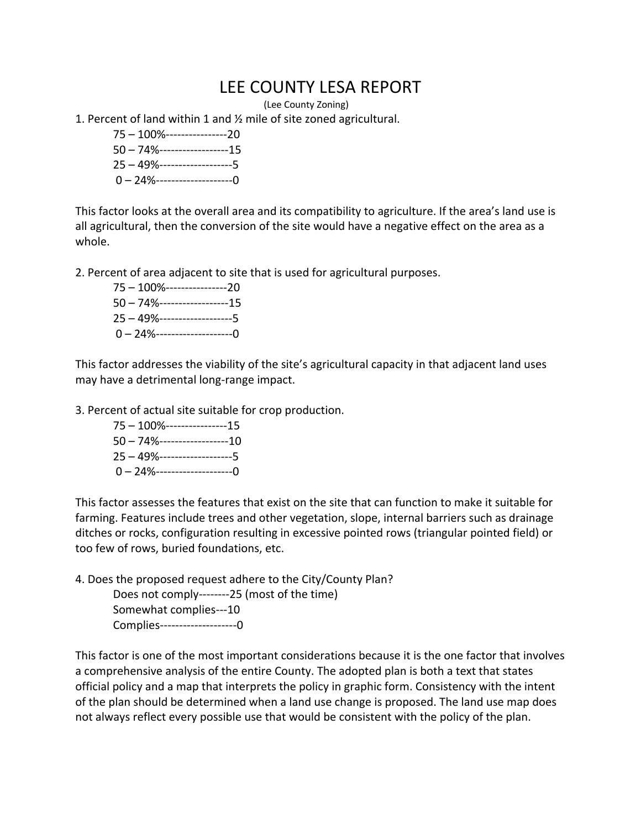## LEE COUNTY LESA REPORT

(Lee County Zoning)

1. Percent of land within 1 and ½ mile of site zoned agricultural.

– 100%----------------20 – 74%------------------15 – 49%-------------------5  $0 - 24$ %------------------------0

This factor looks at the overall area and its compatibility to agriculture. If the area's land use is all agricultural, then the conversion of the site would have a negative effect on the area as a whole.

2. Percent of area adjacent to site that is used for agricultural purposes.

– 100%----------------20 – 74%------------------15 – 49%-------------------5  $0 - 24$ %------------------------0

This factor addresses the viability of the site's agricultural capacity in that adjacent land uses may have a detrimental long-range impact.

3. Percent of actual site suitable for crop production.

– 100%----------------15 – 74%------------------10 – 49%-------------------5 – 24%--------------------0

This factor assesses the features that exist on the site that can function to make it suitable for farming. Features include trees and other vegetation, slope, internal barriers such as drainage ditches or rocks, configuration resulting in excessive pointed rows (triangular pointed field) or too few of rows, buried foundations, etc.

4. Does the proposed request adhere to the City/County Plan?

Does not comply--------25 (most of the time) Somewhat complies---10 Complies--------------------0

This factor is one of the most important considerations because it is the one factor that involves a comprehensive analysis of the entire County. The adopted plan is both a text that states official policy and a map that interprets the policy in graphic form. Consistency with the intent of the plan should be determined when a land use change is proposed. The land use map does not always reflect every possible use that would be consistent with the policy of the plan.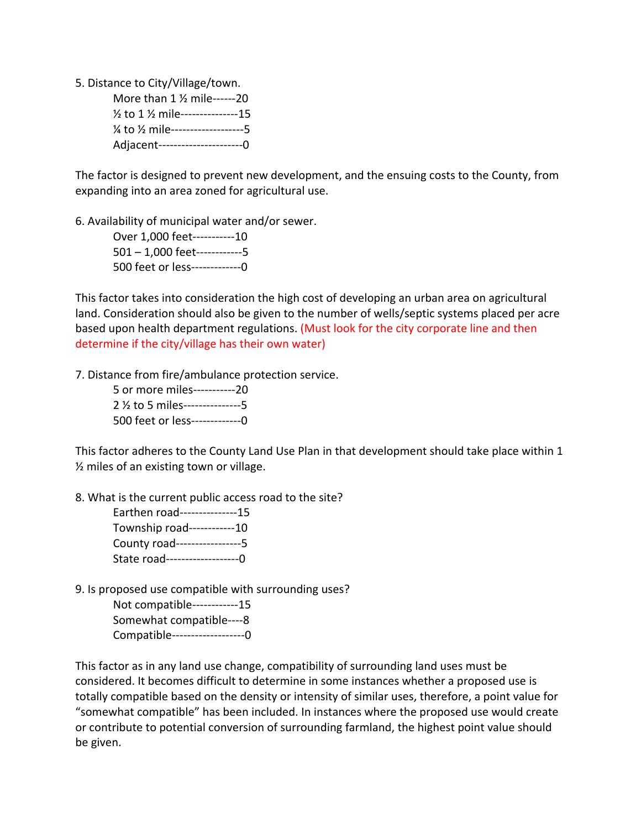5. Distance to City/Village/town. More than 1 ½ mile------20

| 1/2 to 1 1/2 mile----------------15                           |  |
|---------------------------------------------------------------|--|
| 1/ <sub>4</sub> to 1/ <sub>2</sub> mile---------------------5 |  |
| Adjacent---------------------0                                |  |

The factor is designed to prevent new development, and the ensuing costs to the County, from expanding into an area zoned for agricultural use.

6. Availability of municipal water and/or sewer.

Over 1,000 feet-----------10 501 – 1,000 feet------------5 500 feet or less-------------0

This factor takes into consideration the high cost of developing an urban area on agricultural land. Consideration should also be given to the number of wells/septic systems placed per acre based upon health department regulations. (Must look for the city corporate line and then determine if the city/village has their own water)

7. Distance from fire/ambulance protection service.

| 5 or more miles-----------20    |  |
|---------------------------------|--|
| 2 % to 5 miles----------------5 |  |
| 500 feet or less-------------0  |  |

This factor adheres to the County Land Use Plan in that development should take place within 1 ½ miles of an existing town or village.

8. What is the current public access road to the site?

| Earthen road---------------15 |  |
|-------------------------------|--|
| Township road------------10   |  |
| County road-----------------5 |  |
| State road------------------0 |  |

9. Is proposed use compatible with surrounding uses?

Not compatible------------15 Somewhat compatible----8 Compatible-------------------0

This factor as in any land use change, compatibility of surrounding land uses must be considered. It becomes difficult to determine in some instances whether a proposed use is totally compatible based on the density or intensity of similar uses, therefore, a point value for "somewhat compatible" has been included. In instances where the proposed use would create or contribute to potential conversion of surrounding farmland, the highest point value should be given.